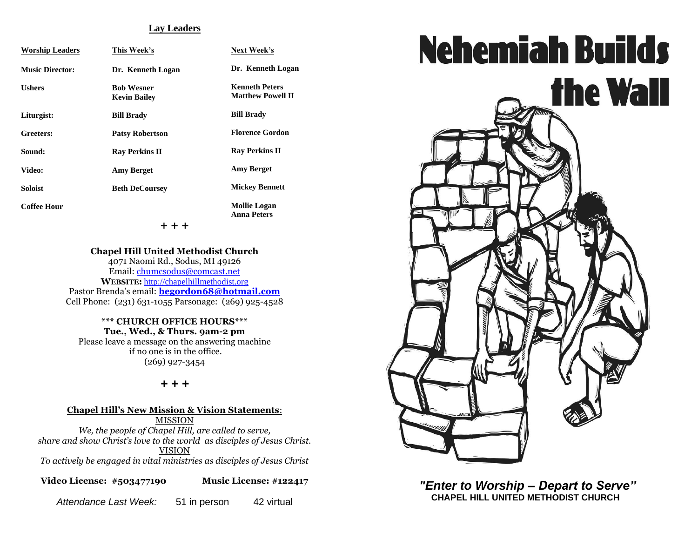#### **Lay Leaders**

| <b>Worship Leaders</b> | This Week's                              | Next Week's                                       |
|------------------------|------------------------------------------|---------------------------------------------------|
| <b>Music Director:</b> | Dr. Kenneth Logan                        | Dr. Kenneth Logan                                 |
| <b>Ushers</b>          | <b>Bob Wesner</b><br><b>Kevin Bailey</b> | <b>Kenneth Peters</b><br><b>Matthew Powell II</b> |
| Liturgist:             | <b>Bill Brady</b>                        | <b>Bill Brady</b>                                 |
| Greeters:              | <b>Patsy Robertson</b>                   | <b>Florence Gordon</b>                            |
| Sound:                 | <b>Ray Perkins II</b>                    | <b>Ray Perkins II</b>                             |
| Video:                 | <b>Amy Berget</b>                        | <b>Amy Berget</b>                                 |
| <b>Soloist</b>         | <b>Beth DeCoursey</b>                    | <b>Mickey Bennett</b>                             |
| <b>Coffee Hour</b>     |                                          | <b>Mollie Logan</b><br><b>Anna Peters</b>         |
|                        | + + +                                    |                                                   |

#### **Chapel Hill United Methodist Church**

4071 Naomi Rd., Sodus, MI 49126 Email: [chumcsodus@comcast.net](mailto:chumcsodus@comcast.net) **WEBSITE:** [http://chapelhillmethodist.org](http://chapelhillmethodist.org/) Pastor Brenda's email: **[begordon68@hotmail.com](mailto:begordon68@hotmail.com)** Cell Phone: (231) 631-1055 Parsonage: (269) 925-4528

**\*\*\* CHURCH OFFICE HOURS\*\*\* Tue., Wed., & Thurs. 9am-2 pm** Please leave a message on the answering machine if no one is in the office. (269) 927-3454

#### *+ + +*

#### **Chapel Hill's New Mission & Vision Statements**: MISSION

*We, the people of Chapel Hill, are called to serve, share and show Christ's love to the world as disciples of Jesus Christ.* VISION

*To actively be engaged in vital ministries as disciples of Jesus Christ*

**Video License: #503477190 Music License: #122417**

*Attendance Last Week:* 51 in person 42 virtual



*"Enter to Worship – Depart to Serve"* **CHAPEL HILL UNITED METHODIST CHURCH**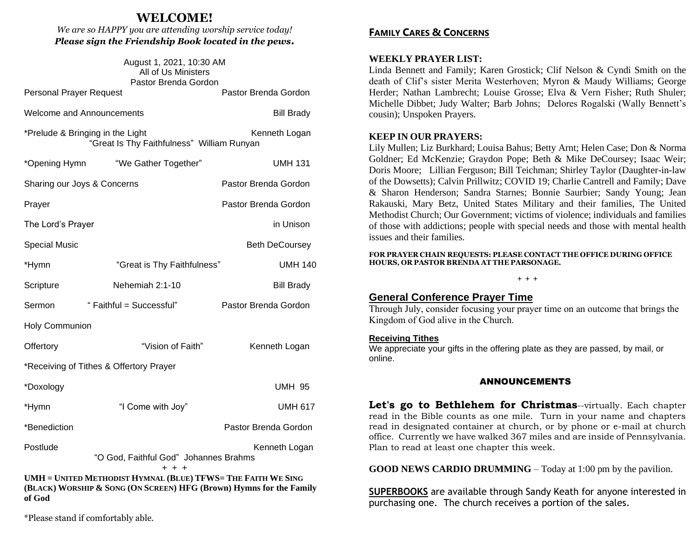# **WELCOME!**

*We are so HAPPY you are attending worship service today! Please sign the Friendship Book located in the pews.*

| August 1, 2021, 10:30 AM<br>All of Us Ministers<br>Pastor Brenda Gordon                                                             |                                                  |                       |  |  |
|-------------------------------------------------------------------------------------------------------------------------------------|--------------------------------------------------|-----------------------|--|--|
| <b>Personal Prayer Request</b>                                                                                                      |                                                  | Pastor Brenda Gordon  |  |  |
| <b>Welcome and Announcements</b>                                                                                                    |                                                  | <b>Bill Brady</b>     |  |  |
| *Prelude & Bringing in the Light<br>Kenneth Logan<br>"Great Is Thy Faithfulness" William Runyan                                     |                                                  |                       |  |  |
| *Opening Hymn                                                                                                                       | "We Gather Together"                             | <b>UMH 131</b>        |  |  |
| Sharing our Joys & Concerns                                                                                                         |                                                  | Pastor Brenda Gordon  |  |  |
| Prayer                                                                                                                              |                                                  | Pastor Brenda Gordon  |  |  |
| The Lord's Prayer                                                                                                                   |                                                  | in Unison             |  |  |
| <b>Special Music</b>                                                                                                                |                                                  | <b>Beth DeCoursey</b> |  |  |
| *Hymn                                                                                                                               | "Great is Thy Faithfulness"                      | <b>UMH 140</b>        |  |  |
| Scripture                                                                                                                           | Nehemiah 2:1-10                                  | <b>Bill Brady</b>     |  |  |
| Sermon                                                                                                                              | "Faithful = Successful"                          | Pastor Brenda Gordon  |  |  |
| <b>Holy Communion</b>                                                                                                               |                                                  |                       |  |  |
| Offertory                                                                                                                           | "Vision of Faith"                                | Kenneth Logan         |  |  |
| *Receiving of Tithes & Offertory Prayer                                                                                             |                                                  |                       |  |  |
| *Doxology                                                                                                                           |                                                  | UMH 95                |  |  |
| *Hymn                                                                                                                               | "I Come with Joy"                                | <b>UMH 617</b>        |  |  |
| *Benediction                                                                                                                        |                                                  | Pastor Brenda Gordon  |  |  |
| Postlude                                                                                                                            | "O God, Faithful God" Johannes Brahms<br>$+ + +$ | Kenneth Logan         |  |  |
| UMH = UNITED METHODIST HYMNAL (BLUE) TFWS= THE FAITH WE SING<br>(BLACK) WORSHIP & SONG (ON SCREEN) HFG (Brown) Hymns for the Family |                                                  |                       |  |  |

\*Please stand if comfortably able.

**of God**

# **FAMILY CARES & CONCERNS**

#### **WEEKLY PRAYER LIST:**

Linda Bennett and Family; Karen Grostick; Clif Nelson & Cyndi Smith on the death of Clif's sister Merita Westerhoven; Myron & Maudy Williams; George Herder; Nathan Lambrecht; Louise Grosse; Elva & Vern Fisher; Ruth Shuler; Michelle Dibbet; Judy Walter; Barb Johns; Delores Rogalski (Wally Bennett's cousin); Unspoken Prayers.

#### **KEEP IN OUR PRAYERS:**

Lily Mullen; Liz Burkhard; Louisa Bahus; Betty Arnt; Helen Case; Don & Norma Goldner; Ed McKenzie; Graydon Pope; Beth & Mike DeCoursey; Isaac Weir; Doris Moore; Lillian Ferguson; Bill Teichman; Shirley Taylor (Daughter-in-law of the Dowsetts); Calvin Prillwitz; COVID 19; Charlie Cantrell and Family; Dave & Sharon Henderson; Sandra Starnes; Bonnie Saurbier; Sandy Young; Jean Rakauski, Mary Betz, United States Military and their families, The United Methodist Church; Our Government; victims of violence; individuals and families of those with addictions; people with special needs and those with mental health issues and their families.

**FOR PRAYER CHAIN REQUESTS: PLEASE CONTACT THE OFFICE DURING OFFICE HOURS, OR PASTOR BRENDA AT THE PARSONAGE.**

# **General Conference Prayer Time**

Through July, consider focusing your prayer time on an outcome that brings the Kingdom of God alive in the Church.

**+ + +**

### **Receiving Tithes**

We appreciate your gifts in the offering plate as they are passed, by mail, or online.

### ANNOUNCEMENTS

**Let's go to Bethlehem for Christmas**--virtually. Each chapter read in the Bible counts as one mile. Turn in your name and chapters read in designated container at church, or by phone or e-mail at church office. Currently we have walked 367 miles and are inside of Pennsylvania. Plan to read at least one chapter this week.

**GOOD NEWS CARDIO DRUMMING** – Today at 1:00 pm by the pavilion.

**SUPERBOOKS** are available through Sandy Keath for anyone interested in purchasing one. The church receives a portion of the sales.